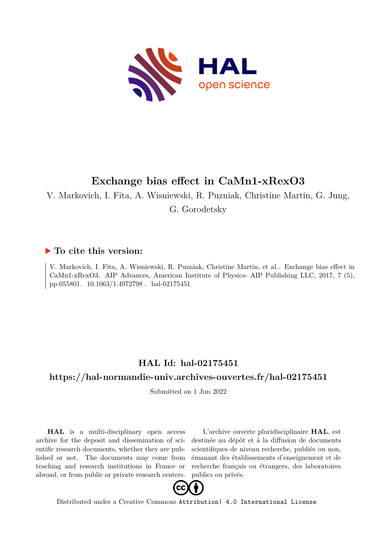

## **Exchange bias effect in CaMn1-xRexO3**

V. Markovich, I. Fita, A. Wisniewski, R. Puzniak, Christine Martin, G. Jung,

G. Gorodetsky

## **To cite this version:**

V. Markovich, I. Fita, A. Wisniewski, R. Puzniak, Christine Martin, et al.. Exchange bias effect in CaMn1-xRexO3. AIP Advances, American Institute of Physics- AIP Publishing LLC, 2017, 7 (5), pp.055801.  $10.1063/1.4972798$ . hal-02175451

## **HAL Id: hal-02175451**

## **<https://hal-normandie-univ.archives-ouvertes.fr/hal-02175451>**

Submitted on 1 Jun 2022

**HAL** is a multi-disciplinary open access archive for the deposit and dissemination of scientific research documents, whether they are published or not. The documents may come from teaching and research institutions in France or abroad, or from public or private research centers.

L'archive ouverte pluridisciplinaire **HAL**, est destinée au dépôt et à la diffusion de documents scientifiques de niveau recherche, publiés ou non, émanant des établissements d'enseignement et de recherche français ou étrangers, des laboratoires publics ou privés.



Distributed under a Creative Commons [Attribution| 4.0 International License](http://creativecommons.org/licenses/by/4.0/)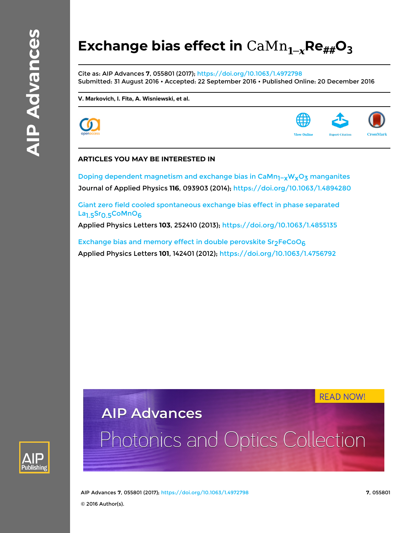# **Exchange bias effect in**  $\text{CaMn}_{1-x}$ **Re** $_{\text{#}\text{#}}$ **O**<sub>3</sub>

Cite as: AIP Advances **7**, 055801 (2017); <https://doi.org/10.1063/1.4972798> Submitted: 31 August 2016 • Accepted: 22 September 2016 • Published Online: 20 December 2016

**[V. Markovich](https://aip.scitation.org/author/Markovich%2C+V), [I. Fita](https://aip.scitation.org/author/Fita%2C+I), [A. Wisniewski](https://aip.scitation.org/author/Wisniewski%2C+A), et al.**





#### **ARTICLES YOU MAY BE INTERESTED IN**

Doping dependent magnetism and exchange bias in CaMn<sub>1-x</sub>W<sub>x</sub>O<sub>3</sub> manganites Journal of Applied Physics **116**, 093903 (2014); <https://doi.org/10.1063/1.4894280>

[Giant zero field cooled spontaneous exchange bias effect in phase separated](https://aip.scitation.org/doi/10.1063/1.4855135) La<sub>1.5</sub>Sr<sub>0.5</sub>CoMnO<sub>6</sub>

Applied Physics Letters **103**, 252410 (2013);<https://doi.org/10.1063/1.4855135>

Exchange bias and memory effect in double perovskite  $Sr<sub>2</sub>FeCoO<sub>6</sub>$ Applied Physics Letters **101**, 142401 (2012);<https://doi.org/10.1063/1.4756792>

**READ NOW!** 

# **AIP Advances**

# Photonics and Optics Collection



AIP Advances **7**, 055801 (2017); <https://doi.org/10.1063/1.4972798> **7**, 055801 © 2016 Author(s).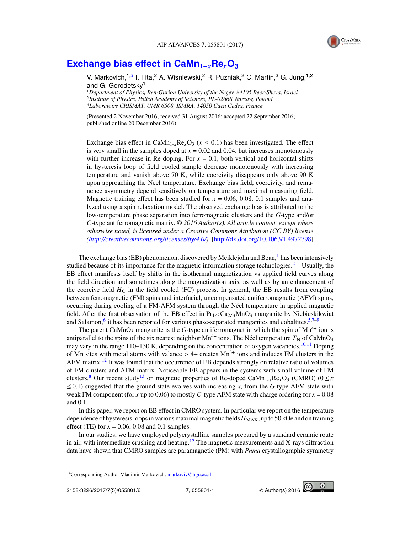

## **[Exchange bias effect in CaMn](http://dx.doi.org/10.1063/1.4972798)1**−*x***Re***x***O<sup>3</sup>**

V. Markovich,<sup>1[,a](#page-2-0)</sup> I. Fita,<sup>2</sup> A. Wisniewski,<sup>2</sup> R. Puzniak,<sup>2</sup> C. Martin,<sup>3</sup> G. Jung,<sup>1,2</sup> and G. Gorodetsky<sup>1</sup>

<sup>1</sup>*Department of Physics, Ben-Gurion University of the Negev, 84105 Beer-Sheva, Israel* 2 *Institute of Physics, Polish Academy of Sciences, PL-02668 Warsaw, Poland* <sup>3</sup>*Laboratoire CRISMAT, UMR 6508, ISMRA, 14050 Caen Cedex, France*

(Presented 2 November 2016; received 31 August 2016; accepted 22 September 2016; published online 20 December 2016)

Exchange bias effect in CaMn<sub>1-*x*</sub>Re<sub>*x*</sub>O<sub>3</sub> ( $x \le 0.1$ ) has been investigated. The effect is very small in the samples doped at  $x = 0.02$  and 0.04, but increases monotonously with further increase in Re doping. For  $x = 0.1$ , both vertical and horizontal shifts in hysteresis loop of field cooled sample decrease monotonously with increasing temperature and vanish above 70 K, while coercivity disappears only above 90 K upon approaching the Néel temperature. Exchange bias field, coercivity, and remanence asymmetry depend sensitively on temperature and maximal measuring field. Magnetic training effect has been studied for  $x = 0.06, 0.08, 0.1$  samples and analyzed using a spin relaxation model. The observed exchange bias is attributed to the low-temperature phase separation into ferromagnetic clusters and the *G*-type and/or *C*-type antiferromagnetic matrix. © *2016 Author(s). All article content, except where otherwise noted, is licensed under a Creative Commons Attribution (CC BY) license [\(http://creativecommons.org/licenses/by/4.0/\)](http://creativecommons.org/licenses/by/4.0/).* [\[http://dx.doi.org/10.1063/1.4972798\]](http://dx.doi.org/10.1063/1.4972798)

The exchange bias (EB) phenomenon, discovered by Meiklejohn and Bean, $<sup>1</sup>$  $<sup>1</sup>$  $<sup>1</sup>$  has been intensively</sup> studied because of its importance for the magnetic information storage technologies.<sup>[2–](#page-6-1)[5](#page-6-2)</sup> Usually, the EB effect manifests itself by shifts in the isothermal magnetization vs applied field curves along the field direction and sometimes along the magnetization axis, as well as by an enhancement of the coercive field  $H_C$  in the field cooled (FC) process. In general, the EB results from coupling between ferromagnetic (FM) spins and interfacial, uncompensated antiferromagnetic (AFM) spins, occurring during cooling of a FM-AFM system through the Néel temperature in applied magnetic field. After the first observation of the EB effect in  $Pr_{1/3}Ca_{2/3}MnO_3$  manganite by Niebieskikwiat and Salamon,<sup>[6](#page-6-3)</sup> it has been reported for various phase-separated manganites and cobaltites.<sup>[5](#page-6-2)[,7](#page-6-4)[–9](#page-7-0)</sup>

The parent CaMnO<sub>3</sub> manganite is the *G*-type antiferromagnet in which the spin of  $Mn^{4+}$  ion is antiparallel to the spins of the six nearest neighbor  $Mn^{4+}$  ions. The Néel temperature  $T_N$  of CaMnO<sub>3</sub> may vary in the range 1[10](#page-7-1)–130 K, depending on the concentration of oxygen vacancies.<sup>10[,11](#page-7-2)</sup> Doping of Mn sites with metal atoms with valance  $> 4+$  creates Mn<sup>3+</sup> ions and induces FM clusters in the AFM matrix.<sup>[12](#page-7-3)</sup> It was found that the occurrence of EB depends strongly on relative ratio of volumes of FM clusters and AFM matrix. Noticeable EB appears in the systems with small volume of FM clusters.<sup>[8](#page-7-4)</sup> Our recent study<sup>[13](#page-7-5)</sup> on magnetic properties of Re-doped CaMn<sub>1-x</sub>Re<sub>x</sub>O<sub>3</sub> (CMRO) ( $0 \le x$  $\leq$  0.1) suggested that the ground state evolves with increasing *x*, from the *G*-type AFM state with weak FM component (for *x* up to 0.06) to mostly *C*-type AFM state with charge ordering for *x* = 0.08 and 0.1.

In this paper, we report on EB effect in CMRO system. In particular we report on the temperature dependence of hysteresis loops in various maximal magnetic fields  $H_{MAX}$ , up to 50 kOe and on training effect (TE) for  $x = 0.06, 0.08$  and 0.1 samples.

In our studies, we have employed polycrystalline samples prepared by a standard ceramic route in air, with intermediate crushing and heating.<sup>[12](#page-7-3)</sup> The magnetic measurements and X-rays diffraction data have shown that CMRO samples are paramagnetic (PM) with *Pnma* crystallographic symmetry



<span id="page-2-0"></span><sup>&</sup>lt;sup>a</sup>Corresponding Author Vladimir Markovich: [markoviv@bgu.ac.il](mailto:markoviv@bgu.ac.il)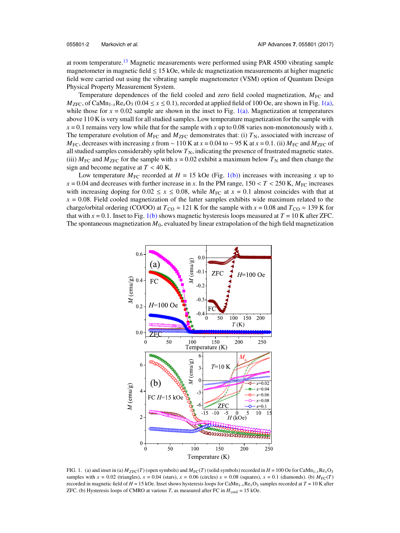at room temperature.<sup>[13](#page-7-5)</sup> Magnetic measurements were performed using PAR 4500 vibrating sample magnetometer in magnetic field  $\leq 15$  kOe, while dc magnetization measurements at higher magnetic field were carried out using the vibrating sample magnetometer (VSM) option of Quantum Design Physical Property Measurement System.

Temperature dependences of the field cooled and zero field cooled magnetization,  $M_{FC}$  and  $M_{\text{ZFC}}$ , of CaMn<sub>1-x</sub>Re<sub>x</sub>O<sub>3</sub> (0.04  $\leq$  *x*  $\leq$  0.1), recorded at applied field of 100 Oe, are shown in Fig. [1\(a\),](#page-3-0) while those for  $x = 0.02$  sample are shown in the inset to Fig. [1\(a\).](#page-3-0) Magnetization at temperatures above 110 K is very small for all studied samples. Low temperature magnetization for the sample with  $x = 0.1$  remains very low while that for the sample with x up to 0.08 varies non-monotonously with x. The temperature evolution of  $M_{FC}$  and  $M_{ZFC}$  demonstrates that: (i)  $T_N$ , associated with increase of  $M_{\text{FC}}$ , decreases with increasing *x* from ~ 110 K at *x* = 0.04 to ~ 95 K at *x* = 0.1. (ii)  $M_{\text{FC}}$  and  $M_{\text{ZFC}}$  of all studied samples considerably split below  $T_N$ , indicating the presence of frustrated magnetic states. (iii)  $M_{\text{FC}}$  and  $M_{\text{ZFC}}$  for the sample with  $x = 0.02$  exhibit a maximum below  $T_{\text{N}}$  and then change the sign and become negative at  $T < 40$  K.

Low temperature  $M_{\text{FC}}$  recorded at  $H = 15$  kOe (Fig. [1\(b\)\)](#page-3-0) increases with increasing *x* up to  $x = 0.04$  and decreases with further increase in *x*. In the PM range,  $150 < T < 250$  K,  $M_{\text{FC}}$  increases with increasing doping for  $0.02 \le x \le 0.08$ , while  $M_{\text{FC}}$  at  $x = 0.1$  almost coincides with that at  $x = 0.08$ . Field cooled magnetization of the latter samples exhibits wide maximum related to the charge/orbital ordering (CO/OO) at  $T_{\text{CO}} \approx 121$  K for the sample with  $x = 0.08$  and  $T_{\text{CO}} \approx 139$  K for that with  $x = 0.1$ . Inset to Fig. [1\(b\)](#page-3-0) shows magnetic hysteresis loops measured at  $T = 10$  K after ZFC. The spontaneous magnetization  $M_0$ , evaluated by linear extrapolation of the high field magnetization



<span id="page-3-0"></span>FIG. 1. (a) and inset in (a)  $M_{ZFC}(T)$  (open symbols) and  $M_{FC}(T)$  (solid symbols) recorded in  $H = 100$  Oe for CaMn<sub>1-*x*</sub>Re<sub>*x*</sub>O<sub>3</sub> samples with  $x = 0.02$  (triangles),  $x = 0.04$  (stars),  $x = 0.06$  (circles)  $x = 0.08$  (squares),  $x = 0.1$  (diamonds). (b)  $M_{\text{FC}}(T)$ recorded in magnetic field of  $H = 15$  kOe. Inset shows hysteresis loops for CaMn<sub>1-x</sub>Re<sub>x</sub>O<sub>3</sub> samples recorded at  $T = 10$  K after ZFC. (b) Hysteresis loops of CMRO at various *T*, as measured after FC in  $H_{\text{cool}} = 15$  kOe.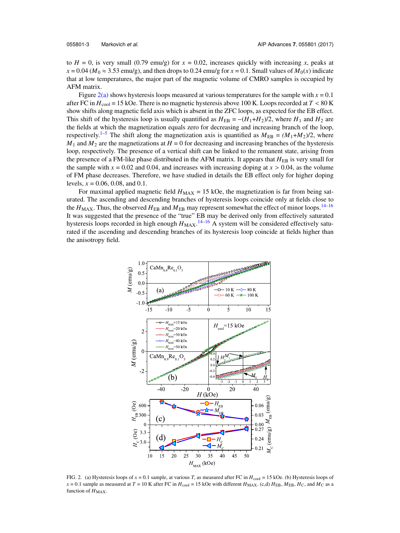to  $H = 0$ , is very small (0.79 emu/g) for  $x = 0.02$ , increases quickly with increasing x, peaks at  $x = 0.04$  ( $M_0 \approx 3.53$  emu/g), and then drops to 0.24 emu/g for  $x = 0.1$ . Small values of  $M_0(x)$  indicate that at low temperatures, the major part of the magnetic volume of CMRO samples is occupied by AFM matrix.

Figure  $2(a)$  shows hysteresis loops measured at various temperatures for the sample with  $x = 0.1$ after FC in  $H_{\text{cool}} = 15$  kOe. There is no magnetic hysteresis above 100 K. Loops recorded at  $T < 80$  K<br>show shifts along magnetic field axis which is absent in the ZEC loops, as expected for the EB effect show shifts along magnetic field axis which is absent in the ZFC loops, as expected for the EB effect. Figure 2(a) shows hysteresis loops measured at various temperatures for the sample with  $x = 0.1$  after FC in  $H_{\text{cool}} = 15$  kOe. There is no magnetic hysteresis above 100 K. Loops recorded at  $T < 80$  K show shifts along ma the fields at which the magnetization equals zero for decreasing and increasing branch of the loop, respectively.<sup>[1–](#page-6-0)[5](#page-6-2)</sup> The shift along the magnetization axis is quantified as  $M_{EB} = (M_1 + M_2)/2$ , where  $M_1$  and  $M_2$  are the magnetizations at  $H = 0$  for decreasing and increasing branches of the hysteresis loop, respectively. The presence of a vertical shift can be linked to the remanent state, arising from the presence of a FM-like phase distributed in the AFM matrix. It appears that  $H_{EB}$  is very small for the sample with  $x = 0.02$  and 0.04, and increases with increasing doping at  $x > 0.04$ , as the volume of FM phase decreases. Therefore, we have studied in details the EB effect only for higher doping levels, *x* = 0.06, 0.08, and 0.1.

For maximal applied magnetic field  $H_{MAX} = 15$  kOe, the magnetization is far from being saturated. The ascending and descending branches of hysteresis loops coincide only at fields close to the  $H_{MAX}$ . Thus, the observed  $H_{EB}$  and  $M_{EB}$  may represent somewhat the effect of minor loops.<sup>[14–](#page-7-6)[16](#page-7-7)</sup> It was suggested that the presence of the "true" EB may be derived only from effectively saturated hysteresis loops recorded in high enough  $H_{MAX}$ .<sup>[14](#page-7-6)[–16](#page-7-7)</sup> A system will be considered effectively saturated if the ascending and descending branches of its hysteresis loop coincide at fields higher than the anisotropy field.



<span id="page-4-0"></span>FIG. 2. (a) Hysteresis loops of  $x = 0.1$  sample, at various *T*, as measured after FC in  $H_{\text{cool}} = 15$  kOe. (b) Hysteresis loops of  $x = 0.1$  sample as measured at  $T = 10$  K after FC in  $H_{\text{cool}} = 15$  kOe with different  $H_{\text{MAX}}$ . (c,d)  $H_{\text{EB}}$ ,  $H_{\text{CD}}$ , and  $M_{\text{C}}$  as a function of  $H_{MAX}$ .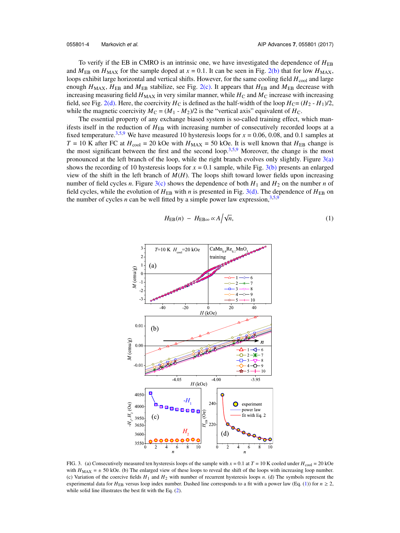To verify if the EB in CMRO is an intrinsic one, we have investigated the dependence of  $H_{EB}$ and  $M_{EB}$  on  $H_{MAX}$  for the sample doped at  $x = 0.1$ . It can be seen in Fig. [2\(b\)](#page-4-0) that for low  $H_{MAX}$ , loops exhibit large horizontal and vertical shifts. However, for the same cooling field  $H_{\text{cool}}$  and large enough  $H_{\text{MAX}}$ ,  $H_{\text{EB}}$  and  $M_{\text{EB}}$  stabilize, see Fig. [2\(c\).](#page-4-0) It appears that  $H_{\text{EB}}$  and  $M_{\text{EB}}$  decrease with increasing measuring field  $H_{\text{MAX}}$  in very similar manner, while  $H_{\text{C}}$  and  $M_{\text{C}}$  increase with increasing field, see Fig. [2\(d\).](#page-4-0) Here, the coercivity  $H_C$  is defined as the half-width of the loop  $H_C = (H_2 - H_1)/2$ , while the magnetic coercivity  $M_C = (M_1 - M_2)/2$  is the "vertical axis" equivalent of  $H_C$ .

The essential property of any exchange biased system is so-called training effect, which manifests itself in the reduction of  $H_{EB}$  with increasing number of consecutively recorded loops at a fixed temperature.<sup>[3,](#page-6-5)[5,](#page-6-2)[9](#page-7-0)</sup> We have measured 10 hysteresis loops for  $x = 0.06, 0.08$ , and 0.1 samples at  $T = 10$  K after FC at  $H_{\text{cool}} = 20$  kOe with  $H_{\text{MAX}} = 50$  kOe. It is well known that  $H_{\text{EB}}$  change is the most significant between the first and the second loop.<sup>[3,](#page-6-5)[5](#page-6-2)[,9](#page-7-0)</sup> Moreover, the change is the most pronounced at the left branch of the loop, while the right branch evolves only slightly. Figure  $3(a)$ shows the recording of 10 hysteresis loops for  $x = 0.1$  sample, while Fig. [3\(b\)](#page-5-0) presents an enlarged view of the shift in the left branch of  $M(H)$ . The loops shift toward lower fields upon increasing number of field cycles *n*. Figure [3\(c\)](#page-5-0) shows the dependence of both  $H_1$  and  $H_2$  on the number *n* of field cycles, while the evolution of  $H_{EB}$  with *n* is presented in Fig. [3\(d\).](#page-5-0) The dependence of  $H_{EB}$  on the number of cycles *n* can be well fitted by a simple power law expression,  $3.5.9$  $3.5.9$  $3.5.9$ 

<span id="page-5-1"></span>
$$
H_{\rm EB}(n) - H_{\rm EB\infty} \propto A / \sqrt{n},\tag{1}
$$



<span id="page-5-0"></span>FIG. 3. (a) Consecutively measured ten hysteresis loops of the sample with  $x = 0.1$  at  $T = 10$  K cooled under  $H_{\text{cool}} = 20$  kOe with  $H_{MAX} = \pm 50$  kOe. (b) The enlarged view of these loops to reveal the shift of the loops with increasing loop number. (c) Variation of the coercive fields *H*<sup>1</sup> and *H*<sup>2</sup> with number of recurrent hysteresis loops *n*. (d) The symbols represent the experimental data for  $H_{EB}$  versus loop index number. Dashed line corresponds to a fit with a power law (Eq. [\(1\)](#page-5-1)) for  $n \ge 2$ , while solid line illustrates the best fit with the Eq.  $(2)$ .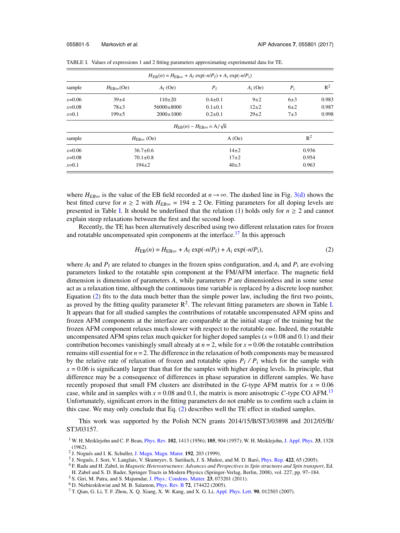| $H_{EB}(n) = H_{EB\infty} + A_f \exp(-n/P_f) + A_i \exp(-n/P_i)$ |                                  |                 |                                                             |            |         |       |
|------------------------------------------------------------------|----------------------------------|-----------------|-------------------------------------------------------------|------------|---------|-------|
| sample                                                           | $H_{\text{ER}\infty}(\text{Oe})$ | $A_f$ (Oe)      | $P_{\rm f}$                                                 | $A_i$ (Oe) | $P_i$   | $R^2$ |
| $x=0.06$                                                         | $39+4$                           | $110\pm 20$     | $0.4 \pm 0.1$                                               | $9\pm2$    | $6\pm3$ | 0.983 |
| $x=0.08$                                                         | $78+3$                           | $56000\pm8000$  | $0.1 \pm 0.1$                                               | $12+2$     | $6\pm2$ | 0.987 |
| $x=0.1$                                                          | $199+5$                          | $2000 \pm 1000$ | $0.2 \pm 0.1$                                               | $29+2$     | $7\pm3$ | 0.998 |
|                                                                  |                                  |                 | $H_{\text{ER}}(n) - H_{\text{ER}\infty} \propto A/\sqrt{n}$ |            |         |       |
| sample                                                           | $H_{\text{ER}\infty}$ (Oe)       |                 | A(Oe)                                                       |            | $R^2$   |       |
| $x=0.06$                                                         | $36.7 \pm 0.6$                   |                 | $14\pm2$                                                    |            | 0.936   |       |
| $x=0.08$                                                         | $70.1 \pm 0.8$                   |                 | $17+2$                                                      |            | 0.954   |       |
| $x=0.1$                                                          | $194 \pm 2$                      |                 | $40\pm3$                                                    |            | 0.963   |       |
|                                                                  |                                  |                 |                                                             |            |         |       |

<span id="page-6-7"></span>TABLE I. Values of expressions 1 and 2 fitting parameters approximating experimental data for TE.

where  $H_{EB\infty}$  is the value of the EB field recorded at  $n \to \infty$ . The dashed line in Fig. [3\(d\)](#page-5-0) shows the best fitted curve for  $n \ge 2$  with  $H_{EB\infty} = 194 \pm 2$  Oe. Fitting parameters for all doping levels are presented in Table [I.](#page-6-7) It should be underlined that the relation (1) holds only for  $n \geq 2$  and cannot explain steep relaxations between the first and the second loop.

Recently, the TE has been alternatively described using two different relaxation rates for frozen and rotatable uncompensated spin components at the interface.<sup>[17](#page-7-8)</sup> In this approach

<span id="page-6-6"></span>
$$
H_{\text{EB}}(n) = H_{\text{EB}\infty} + A_{\text{f}} \exp(-n/P_{\text{f}}) + A_{\text{i}} \exp(-n/P_{\text{i}}),
$$
\n(2)

where  $A_f$  and  $P_f$  are related to changes in the frozen spins configuration, and  $A_i$  and  $P_i$  are evolving parameters linked to the rotatable spin component at the FM/AFM interface. The magnetic field dimension is dimension of parameters *A*, while parameters *P* are dimensionless and in some sense act as a relaxation time, although the continuous time variable is replaced by a discrete loop number. Equation [\(2\)](#page-6-6) fits to the data much better than the simple power law, including the first two points, as proved by the fitting quality parameter  $R^2$ . The relevant fitting parameters are shown in Table [I.](#page-6-7) It appears that for all studied samples the contributions of rotatable uncompensated AFM spins and frozen AFM components at the interface are comparable at the initial stage of the training but the frozen AFM component relaxes much slower with respect to the rotatable one. Indeed, the rotatable uncompensated AFM spins relax much quicker for higher doped samples  $(x = 0.08$  and  $0.1)$  and their contribution becomes vanishingly small already at  $n = 2$ , while for  $x = 0.06$  the rotatable contribution remains still essential for *n* = 2. The difference in the relaxation of both components may be measured by the relative rate of relaxation of frozen and rotatable spins  $P_f$  /  $P_i$  which for the sample with  $x = 0.06$  is significantly larger than that for the samples with higher doping levels. In principle, that difference may be a consequence of differences in phase separation in different samples. We have recently proposed that small FM clusters are distributed in the *G*-type AFM matrix for *x* = 0.06 case, while and in samples with  $x = 0.08$  and 0.1, the matrix is more anisotropic C-type CO AFM.<sup>[13](#page-7-5)</sup> Unfortunately, significant errors in the fitting parameters do not enable us to confirm such a claim in this case. We may only conclude that Eq. [\(2\)](#page-6-6) describes well the TE effect in studied samples.

This work was supported by the Polish NCN grants 2014/15/B/ST3/03898 and 2012/05/B/ ST3/03157.

<span id="page-6-0"></span><sup>1</sup> W. H. Meiklejohn and C. P. Bean, [Phys. Rev.](http://dx.doi.org/10.1103/PhysRev.102.1413) **102**, 1413 (1956); **105**, 904 (1957); W. H. Meiklejohn, [J. Appl. Phys.](http://dx.doi.org/10.1063/1.1728716) **33**, 1328 (1962).

<span id="page-6-5"></span><sup>3</sup> J. Nogués, J. Sort, V. Langlais, V. Skumryev, S. Suriñach, J. S. Muñoz, and M. D. Baró, [Phys. Rep.](http://dx.doi.org/10.1016/j.physrep.2005.08.004) 422, 65 (2005).

<span id="page-6-1"></span><sup>&</sup>lt;sup>2</sup> J. Nogués and I. K. Schuller, [J. Magn. Magn. Mater.](http://dx.doi.org/10.1016/S0304-8853(98)00266-2) 192, 203 (1999).

<sup>4</sup> F. Radu and H. Zabel, in *Magnetic Heterostructures: Advances and Perspectives in Spin structures and Spin transport*, Ed. H. Zabel and S. D. Bader, Springer Tracts in Modern Physics (Springer-Verlag, Berlin, 2008), vol. 227, pp. 97–184.

<span id="page-6-2"></span><sup>5</sup> S. Giri, M. Patra, and S. Majumdar, [J. Phys.: Condens. Matter.](http://dx.doi.org/10.1088/0953-8984/23/7/073201) **23**, 073201 (2011).

<span id="page-6-3"></span><sup>6</sup> D. Niebieskikwiat and M. B. Salamon, [Phys. Rev. B](http://dx.doi.org/10.1103/PhysRevB.72.174422) **72**, 174422 (2005).

<span id="page-6-4"></span><sup>7</sup> T. Qian, G. Li, T. F. Zhou, X. Q. Xiang, X. W. Kang, and X. G. Li, [Appl. Phys. Lett.](http://dx.doi.org/10.1063/1.2426887) **90**, 012503 (2007).